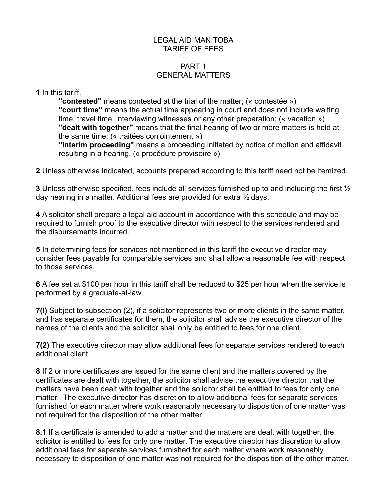#### LEGAL AID MANITOBA TARIFF OF FEES

#### PART 1 GENERAL MATTERS

**1** In this tariff,

**"contested"** means contested at the trial of the matter; (« contestée ») **"court time"** means the actual time appearing in court and does not include waiting time, travel time, interviewing witnesses or any other preparation; (« vacation ») **"dealt with together"** means that the final hearing of two or more matters is held at the same time; (« traitées conjointement ») **"interim proceeding"** means a proceeding initiated by notice of motion and affidavit

resulting in a hearing. (« procédure provisoire »)

**2** Unless otherwise indicated, accounts prepared according to this tariff need not be itemized.

**3** Unless otherwise specified, fees include all services furnished up to and including the first ½ day hearing in a matter. Additional fees are provided for extra ½ days.

**4** A solicitor shall prepare a legal aid account in accordance with this schedule and may be required to furnish proof to the executive director with respect to the services rendered and the disbursements incurred.

**5** In determining fees for services not mentioned in this tariff the executive director may consider fees payable for comparable services and shall allow a reasonable fee with respect to those services.

**6** A fee set at \$100 per hour in this tariff shall be reduced to \$25 per hour when the service is performed by a graduate-at-law.

**7(l)** Subject to subsection (2), if a solicitor represents two or more clients in the same matter, and has separate certificates for them, the solicitor shall advise the executive director of the names of the clients and the solicitor shall only be entitled to fees for one client.

**7(2)** The executive director may allow additional fees for separate services rendered to each additional client.

**8** If 2 or more certificates are issued for the same client and the matters covered by the certificates are dealt with together, the solicitor shall advise the executive director that the matters have been dealt with together and the solicitor shall be entitled to fees for only one matter. The executive director has discretion to allow additional fees for separate services furnished for each matter where work reasonably necessary to disposition of one matter was not required for the disposition of the other matter

**8.1** If a certificate is amended to add a matter and the matters are dealt with together, the solicitor is entitled to fees for only one matter. The executive director has discretion to allow additional fees for separate services furnished for each matter where work reasonably necessary to disposition of one matter was not required for the disposition of the other matter.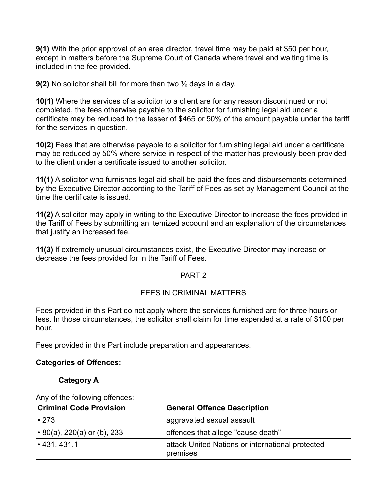**9(1)** With the prior approval of an area director, travel time may be paid at \$50 per hour, except in matters before the Supreme Court of Canada where travel and waiting time is included in the fee provided.

**9(2)** No solicitor shall bill for more than two ½ days in a day.

**10(1)** Where the services of a solicitor to a client are for any reason discontinued or not completed, the fees otherwise payable to the solicitor for furnishing legal aid under a certificate may be reduced to the lesser of \$465 or 50% of the amount payable under the tariff for the services in question.

**10(2)** Fees that are otherwise payable to a solicitor for furnishing legal aid under a certificate may be reduced by 50% where service in respect of the matter has previously been provided to the client under a certificate issued to another solicitor.

**11(1)** A solicitor who furnishes legal aid shall be paid the fees and disbursements determined by the Executive Director according to the Tariff of Fees as set by Management Council at the time the certificate is issued.

**11(2)** A solicitor may apply in writing to the Executive Director to increase the fees provided in the Tariff of Fees by submitting an itemized account and an explanation of the circumstances that justify an increased fee.

**11(3)** If extremely unusual circumstances exist, the Executive Director may increase or decrease the fees provided for in the Tariff of Fees.

### PART 2

### FEES IN CRIMINAL MATTERS

Fees provided in this Part do not apply where the services furnished are for three hours or less. In those circumstances, the solicitor shall claim for time expended at a rate of \$100 per hour.

Fees provided in this Part include preparation and appearances.

#### **Categories of Offences:**

#### **Category A**

Any of the following offences:

| <b>Criminal Code Provision</b>    | <b>General Offence Description</b>                           |
|-----------------------------------|--------------------------------------------------------------|
| $\cdot$ 273                       | aggravated sexual assault                                    |
| $\cdot$ 80(a), 220(a) or (b), 233 | offences that allege "cause death"                           |
| $ \cdot$ 431, 431.1               | attack United Nations or international protected<br>premises |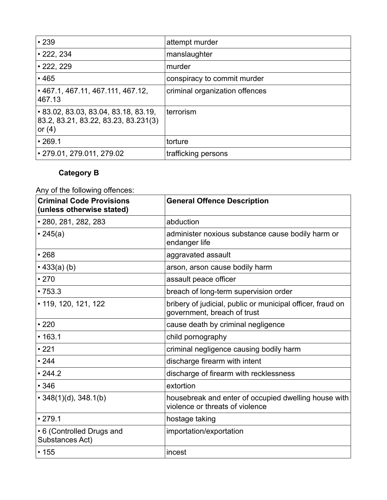| •239                                                                                           | attempt murder                 |
|------------------------------------------------------------------------------------------------|--------------------------------|
| $\cdot$ 222, 234                                                                               | manslaughter                   |
| $\cdot$ 222, 229                                                                               | murder                         |
| •465                                                                                           | conspiracy to commit murder    |
| $\cdot$ 467.1, 467.11, 467.111, 467.12,<br>467.13                                              | criminal organization offences |
| $\cdot$ 83.02, 83.03, 83.04, 83.18, 83.19,<br>83.2, 83.21, 83.22, 83.23, 83.231(3)<br>or $(4)$ | terrorism                      |
| $\cdot$ 269.1                                                                                  | torture                        |
| • 279.01, 279.011, 279.02                                                                      | trafficking persons            |

# **Category B**

Any of the following offences:

| <b>Criminal Code Provisions</b><br>(unless otherwise stated) | <b>General Offence Description</b>                                                        |
|--------------------------------------------------------------|-------------------------------------------------------------------------------------------|
| • 280, 281, 282, 283                                         | abduction                                                                                 |
| • 245(a)                                                     | administer noxious substance cause bodily harm or<br>endanger life                        |
| •268                                                         | aggravated assault                                                                        |
| $\cdot$ 433(a) (b)                                           | arson, arson cause bodily harm                                                            |
| •270                                                         | assault peace officer                                                                     |
| •753.3                                                       | breach of long-term supervision order                                                     |
| • 119, 120, 121, 122                                         | bribery of judicial, public or municipal officer, fraud on<br>government, breach of trust |
| $\cdot$ 220                                                  | cause death by criminal negligence                                                        |
| •163.1                                                       | child pornography                                                                         |
| •221                                                         | criminal negligence causing bodily harm                                                   |
| •244                                                         | discharge firearm with intent                                                             |
| • 244.2                                                      | discharge of firearm with recklessness                                                    |
| •346                                                         | extortion                                                                                 |
| $\cdot$ 348(1)(d), 348.1(b)                                  | housebreak and enter of occupied dwelling house with<br>violence or threats of violence   |
| $\cdot$ 279.1                                                | hostage taking                                                                            |
| • 6 (Controlled Drugs and<br>Substances Act)                 | importation/exportation                                                                   |
| •155                                                         | incest                                                                                    |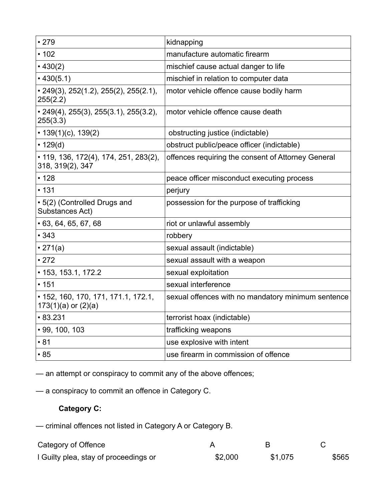| •279                                                           | kidnapping                                         |
|----------------------------------------------------------------|----------------------------------------------------|
| • 102                                                          | manufacture automatic firearm                      |
| $\cdot$ 430(2)                                                 | mischief cause actual danger to life               |
| •430(5.1)                                                      | mischief in relation to computer data              |
| • 249(3), 252(1.2), 255(2), 255(2.1),<br>255(2.2)              | motor vehicle offence cause bodily harm            |
| $\cdot$ 249(4), 255(3), 255(3.1), 255(3.2),<br>255(3.3)        | motor vehicle offence cause death                  |
| • $139(1)(c)$ , $139(2)$                                       | obstructing justice (indictable)                   |
| • 129(d)                                                       | obstruct public/peace officer (indictable)         |
| • 119, 136, 172(4), 174, 251, 283(2),<br>318, 319(2), 347      | offences requiring the consent of Attorney General |
| • 128                                                          | peace officer misconduct executing process         |
| • 131                                                          | perjury                                            |
| • 5(2) (Controlled Drugs and<br>Substances Act)                | possession for the purpose of trafficking          |
| $\cdot$ 63, 64, 65, 67, 68                                     | riot or unlawful assembly                          |
| •343                                                           | robbery                                            |
| • 271(a)                                                       | sexual assault (indictable)                        |
| •272                                                           | sexual assault with a weapon                       |
| $\cdot$ 153, 153.1, 172.2                                      | sexual exploitation                                |
| • 151                                                          | sexual interference                                |
| • 152, 160, 170, 171, 171.1, 172.1,<br>$173(1)(a)$ or $(2)(a)$ | sexual offences with no mandatory minimum sentence |
| •83.231                                                        | terrorist hoax (indictable)                        |
| $\cdot$ 99, 100, 103                                           | trafficking weapons                                |
| • 81                                                           | use explosive with intent                          |
| •85                                                            | use firearm in commission of offence               |

— an attempt or conspiracy to commit any of the above offences;

— a conspiracy to commit an offence in Category C.

# **Category C:**

— criminal offences not listed in Category A or Category B.

| Category of Offence                   |         |         |       |
|---------------------------------------|---------|---------|-------|
| I Guilty plea, stay of proceedings or | \$2,000 | \$1,075 | \$565 |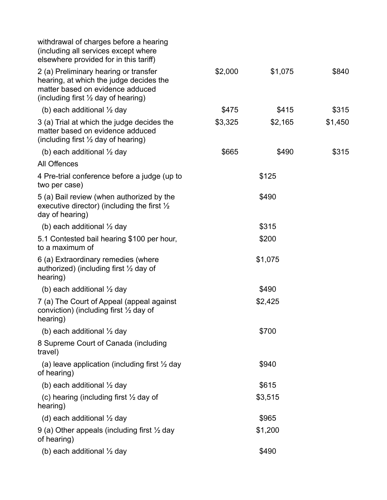| withdrawal of charges before a hearing<br>(including all services except where<br>elsewhere provided for in this tariff)                                               |         |         |         |
|------------------------------------------------------------------------------------------------------------------------------------------------------------------------|---------|---------|---------|
| 2 (a) Preliminary hearing or transfer<br>hearing, at which the judge decides the<br>matter based on evidence adduced<br>(including first $\frac{1}{2}$ day of hearing) | \$2,000 | \$1,075 | \$840   |
| (b) each additional $\frac{1}{2}$ day                                                                                                                                  | \$475   | \$415   | \$315   |
| 3 (a) Trial at which the judge decides the<br>matter based on evidence adduced<br>(including first $\frac{1}{2}$ day of hearing)                                       | \$3,325 | \$2,165 | \$1,450 |
| (b) each additional $\frac{1}{2}$ day                                                                                                                                  | \$665   | \$490   | \$315   |
| All Offences                                                                                                                                                           |         |         |         |
| 4 Pre-trial conference before a judge (up to<br>two per case)                                                                                                          |         | \$125   |         |
| 5 (a) Bail review (when authorized by the<br>executive director) (including the first $\frac{1}{2}$<br>day of hearing)                                                 |         | \$490   |         |
| (b) each additional $\frac{1}{2}$ day                                                                                                                                  |         | \$315   |         |
| 5.1 Contested bail hearing \$100 per hour,<br>to a maximum of                                                                                                          |         | \$200   |         |
| 6 (a) Extraordinary remedies (where<br>authorized) (including first $\frac{1}{2}$ day of<br>hearing)                                                                   |         | \$1,075 |         |
| (b) each additional $\frac{1}{2}$ day                                                                                                                                  |         | \$490   |         |
| 7 (a) The Court of Appeal (appeal against<br>conviction) (including first $\frac{1}{2}$ day of<br>hearing)                                                             |         | \$2,425 |         |
| (b) each additional $\frac{1}{2}$ day                                                                                                                                  |         | \$700   |         |
| 8 Supreme Court of Canada (including<br>travel)                                                                                                                        |         |         |         |
| (a) leave application (including first 1/2 day<br>of hearing)                                                                                                          |         | \$940   |         |
| (b) each additional $\frac{1}{2}$ day                                                                                                                                  |         | \$615   |         |
| (c) hearing (including first $\frac{1}{2}$ day of<br>hearing)                                                                                                          |         | \$3,515 |         |
| (d) each additional $\frac{1}{2}$ day                                                                                                                                  |         | \$965   |         |
| 9 (a) Other appeals (including first $\frac{1}{2}$ day<br>of hearing)                                                                                                  |         | \$1,200 |         |
| (b) each additional $\frac{1}{2}$ day                                                                                                                                  |         | \$490   |         |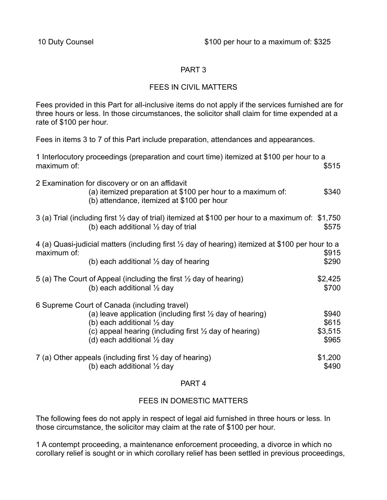#### PART 3

#### FEES IN CIVIL MATTERS

Fees provided in this Part for all-inclusive items do not apply if the services furnished are for three hours or less. In those circumstances, the solicitor shall claim for time expended at a rate of \$100 per hour.

Fees in items 3 to 7 of this Part include preparation, attendances and appearances.

| maximum of: | 1 Interlocutory proceedings (preparation and court time) itemized at \$100 per hour to a                                                                                                                                                                                    | \$515                              |
|-------------|-----------------------------------------------------------------------------------------------------------------------------------------------------------------------------------------------------------------------------------------------------------------------------|------------------------------------|
|             | 2 Examination for discovery or on an affidavit<br>(a) itemized preparation at \$100 per hour to a maximum of:<br>(b) attendance, itemized at \$100 per hour                                                                                                                 | \$340                              |
|             | 3 (a) Trial (including first 1/2 day of trial) itemized at \$100 per hour to a maximum of: \$1,750<br>(b) each additional $\frac{1}{2}$ day of trial                                                                                                                        | \$575                              |
| maximum of: | 4 (a) Quasi-judicial matters (including first 1/2 day of hearing) itemized at \$100 per hour to a                                                                                                                                                                           | \$915                              |
|             | (b) each additional 1/2 day of hearing                                                                                                                                                                                                                                      | \$290                              |
|             | 5 (a) The Court of Appeal (including the first $\frac{1}{2}$ day of hearing)<br>(b) each additional $\frac{1}{2}$ day                                                                                                                                                       | \$2,425<br>\$700                   |
|             | 6 Supreme Court of Canada (including travel)<br>(a) leave application (including first $\frac{1}{2}$ day of hearing)<br>(b) each additional $\frac{1}{2}$ day<br>(c) appeal hearing (including first $\frac{1}{2}$ day of hearing)<br>(d) each additional $\frac{1}{2}$ day | \$940<br>\$615<br>\$3,515<br>\$965 |
|             | 7 (a) Other appeals (including first 1/2 day of hearing)<br>(b) each additional $\frac{1}{2}$ day                                                                                                                                                                           | \$1,200<br>\$490                   |

#### PART 4

#### FEES IN DOMESTIC MATTERS

The following fees do not apply in respect of legal aid furnished in three hours or less. In those circumstance, the solicitor may claim at the rate of \$100 per hour.

1 A contempt proceeding, a maintenance enforcement proceeding, a divorce in which no corollary relief is sought or in which corollary relief has been settled in previous proceedings,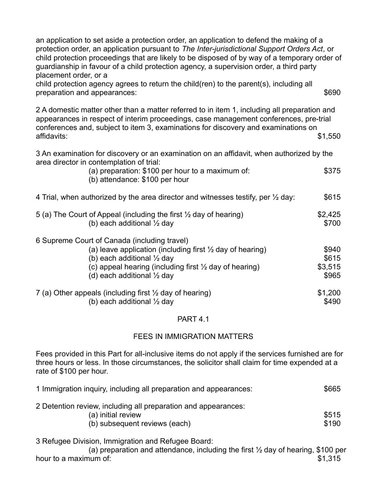| an application to set aside a protection order, an application to defend the making of a<br>protection order, an application pursuant to The Inter-jurisdictional Support Orders Act, or<br>child protection proceedings that are likely to be disposed of by way of a temporary order of<br>guardianship in favour of a child protection agency, a supervision order, a third party<br>placement order, or a |                                    |  |
|---------------------------------------------------------------------------------------------------------------------------------------------------------------------------------------------------------------------------------------------------------------------------------------------------------------------------------------------------------------------------------------------------------------|------------------------------------|--|
| child protection agency agrees to return the child(ren) to the parent(s), including all<br>preparation and appearances:                                                                                                                                                                                                                                                                                       | \$690                              |  |
| 2 A domestic matter other than a matter referred to in item 1, including all preparation and<br>appearances in respect of interim proceedings, case management conferences, pre-trial<br>conferences and, subject to item 3, examinations for discovery and examinations on<br>affidavits:                                                                                                                    | \$1,550                            |  |
| 3 An examination for discovery or an examination on an affidavit, when authorized by the                                                                                                                                                                                                                                                                                                                      |                                    |  |
| area director in contemplation of trial:<br>(a) preparation: \$100 per hour to a maximum of:<br>(b) attendance: \$100 per hour                                                                                                                                                                                                                                                                                | \$375                              |  |
| 4 Trial, when authorized by the area director and witnesses testify, per 1/2 day:                                                                                                                                                                                                                                                                                                                             | \$615                              |  |
| 5 (a) The Court of Appeal (including the first $\frac{1}{2}$ day of hearing)<br>(b) each additional 1/2 day                                                                                                                                                                                                                                                                                                   | \$2,425<br>\$700                   |  |
| 6 Supreme Court of Canada (including travel)<br>(a) leave application (including first $\frac{1}{2}$ day of hearing)<br>(b) each additional $\frac{1}{2}$ day<br>(c) appeal hearing (including first $\frac{1}{2}$ day of hearing)<br>(d) each additional 1/2 day                                                                                                                                             | \$940<br>\$615<br>\$3,515<br>\$965 |  |
| 7 (a) Other appeals (including first $\frac{1}{2}$ day of hearing)<br>(b) each additional 1/2 day                                                                                                                                                                                                                                                                                                             | \$1,200<br>\$490                   |  |

#### PART 4.1

#### FEES IN IMMIGRATION MATTERS

Fees provided in this Part for all-inclusive items do not apply if the services furnished are for three hours or less. In those circumstances, the solicitor shall claim for time expended at a rate of \$100 per hour.

| 1 Immigration inquiry, including all preparation and appearances: | \$665 |
|-------------------------------------------------------------------|-------|
| 2 Detention review, including all preparation and appearances:    |       |
| (a) initial review                                                | \$515 |
| (b) subsequent reviews (each)                                     | \$190 |

3 Refugee Division, Immigration and Refugee Board:

(a) preparation and attendance, including the first  $\frac{1}{2}$  day of hearing, \$100 per num of: hour to a maximum of:  $\overline{1}$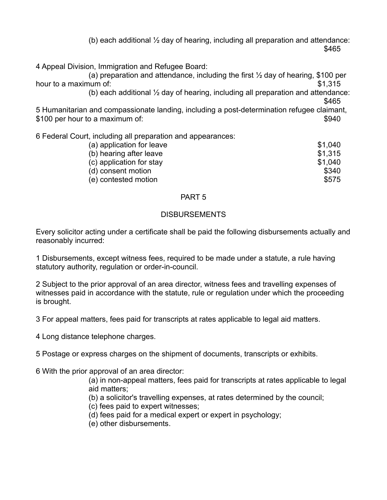(b) each additional ½ day of hearing, including all preparation and attendance: \$465

4 Appeal Division, Immigration and Refugee Board:

(a) preparation and attendance, including the first  $\frac{1}{2}$  day of hearing, \$100 per hour to a maximum of:  $$1,315$ 

(b) each additional ½ day of hearing, including all preparation and attendance:

\$465

5 Humanitarian and compassionate landing, including a post-determination refugee claimant, \$100 per hour to a maximum of:  $$940$ 

6 Federal Court, including all preparation and appearances:

| (a) application for leave | \$1.040 |
|---------------------------|---------|
| (b) hearing after leave   | \$1.315 |
| (c) application for stay  | \$1.040 |
| (d) consent motion        | \$340   |
| (e) contested motion      | \$575   |

#### PART 5

### DISBURSEMENTS

Every solicitor acting under a certificate shall be paid the following disbursements actually and reasonably incurred:

1 Disbursements, except witness fees, required to be made under a statute, a rule having statutory authority, regulation or order-in-council.

2 Subject to the prior approval of an area director, witness fees and travelling expenses of witnesses paid in accordance with the statute, rule or regulation under which the proceeding is brought.

3 For appeal matters, fees paid for transcripts at rates applicable to legal aid matters.

4 Long distance telephone charges.

5 Postage or express charges on the shipment of documents, transcripts or exhibits.

6 With the prior approval of an area director:

(a) in non-appeal matters, fees paid for transcripts at rates applicable to legal aid matters;

(b) a solicitor's travelling expenses, at rates determined by the council;

(c) fees paid to expert witnesses;

(d) fees paid for a medical expert or expert in psychology;

(e) other disbursements.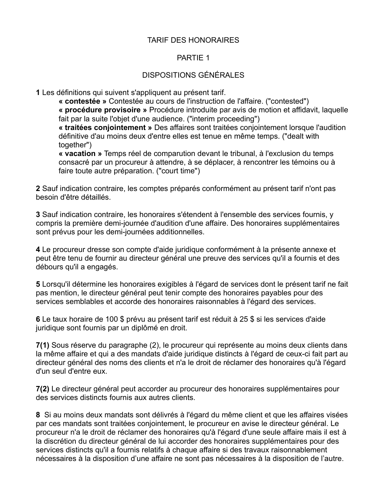#### TARIF DES HONORAIRES

#### PARTIE 1

### DISPOSITIONS GÉNÉRALES

**1** Les définitions qui suivent s'appliquent au présent tarif.

**« contestée »** Contestée au cours de l'instruction de l'affaire. ("contested")

**« procédure provisoire »** Procédure introduite par avis de motion et affidavit, laquelle fait par la suite l'objet d'une audience. ("interim proceeding")

**« traitées conjointement »** Des affaires sont traitées conjointement lorsque l'audition définitive d'au moins deux d'entre elles est tenue en même temps. ("dealt with together")

**« vacation »** Temps réel de comparution devant le tribunal, à l'exclusion du temps consacré par un procureur à attendre, à se déplacer, à rencontrer les témoins ou à faire toute autre préparation. ("court time")

**2** Sauf indication contraire, les comptes préparés conformément au présent tarif n'ont pas besoin d'être détaillés.

**3** Sauf indication contraire, les honoraires s'étendent à l'ensemble des services fournis, y compris la première demi-journée d'audition d'une affaire. Des honoraires supplémentaires sont prévus pour les demi-journées additionnelles.

**4** Le procureur dresse son compte d'aide juridique conformément à la présente annexe et peut être tenu de fournir au directeur général une preuve des services qu'il a fournis et des débours qu'il a engagés.

**5** Lorsqu'il détermine les honoraires exigibles à l'égard de services dont le présent tarif ne fait pas mention, le directeur général peut tenir compte des honoraires payables pour des services semblables et accorde des honoraires raisonnables à l'égard des services.

**6** Le taux horaire de 100 \$ prévu au présent tarif est réduit à 25 \$ si les services d'aide juridique sont fournis par un diplômé en droit.

**7(1)** Sous réserve du paragraphe (2), le procureur qui représente au moins deux clients dans la même affaire et qui a des mandats d'aide juridique distincts à l'égard de ceux-ci fait part au directeur général des noms des clients et n'a le droit de réclamer des honoraires qu'à l'égard d'un seul d'entre eux.

**7(2)** Le directeur général peut accorder au procureur des honoraires supplémentaires pour des services distincts fournis aux autres clients.

**8** Si au moins deux mandats sont délivrés à l'égard du même client et que les affaires visées par ces mandats sont traitées conjointement, le procureur en avise le directeur général. Le procureur n'a le droit de réclamer des honoraires qu'à l'égard d'une seule affaire mais il est à la discrétion du directeur général de lui accorder des honoraires supplémentaires pour des services distincts qu'il a fournis relatifs à chaque affaire si des travaux raisonnablement nécessaires à la disposition d'une affaire ne sont pas nécessaires à la disposition de l'autre.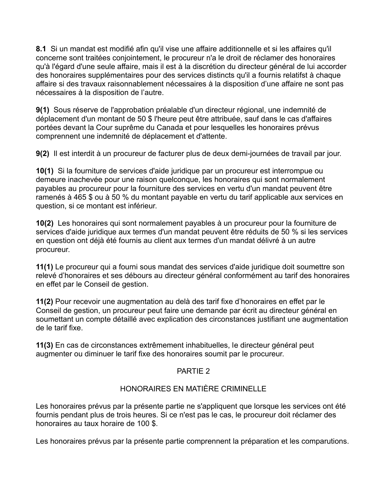**8.1** Si un mandat est modifié afin qu'il vise une affaire additionnelle et si les affaires qu'il concerne sont traitées conjointement, le procureur n'a le droit de réclamer des honoraires qu'à l'égard d'une seule affaire, mais il est à la discrétion du directeur général de lui accorder des honoraires supplémentaires pour des services distincts qu'il a fournis relatifst à chaque affaire si des travaux raisonnablement nécessaires à la disposition d'une affaire ne sont pas nécessaires à la disposition de l'autre.

**9(1)** Sous réserve de l'approbation préalable d'un directeur régional, une indemnité de déplacement d'un montant de 50 \$ l'heure peut être attribuée, sauf dans le cas d'affaires portées devant la Cour suprême du Canada et pour lesquelles les honoraires prévus comprennent une indemnité de déplacement et d'attente.

**9(2)** Il est interdit à un procureur de facturer plus de deux demi-journées de travail par jour.

**10(1)** Si la fourniture de services d'aide juridique par un procureur est interrompue ou demeure inachevée pour une raison quelconque, les honoraires qui sont normalement payables au procureur pour la fourniture des services en vertu d'un mandat peuvent être ramenés à 465 \$ ou à 50 % du montant payable en vertu du tarif applicable aux services en question, si ce montant est inférieur.

**10(2)** Les honoraires qui sont normalement payables à un procureur pour la fourniture de services d'aide juridique aux termes d'un mandat peuvent être réduits de 50 % si les services en question ont déjà été fournis au client aux termes d'un mandat délivré à un autre procureur.

**11(1)** Le procureur qui a fourni sous mandat des services d'aide juridique doit soumettre son relevé d'honoraires et ses débours au directeur général conformément au tarif des honoraires en effet par le Conseil de gestion.

**11(2)** Pour recevoir une augmentation au delà des tarif fixe d'honoraires en effet par le Conseil de gestion, un procureur peut faire une demande par écrit au directeur général en soumettant un compte détaillé avec explication des circonstances justifiant une augmentation de le tarif fixe.

**11(3)** En cas de circonstances extrêmement inhabituelles, le directeur général peut augmenter ou diminuer le tarif fixe des honoraires soumit par le procureur.

### PARTIE 2

### HONORAIRES EN MATIÈRE CRIMINELLE

Les honoraires prévus par la présente partie ne s'appliquent que lorsque les services ont été fournis pendant plus de trois heures. Si ce n'est pas le cas, le procureur doit réclamer des honoraires au taux horaire de 100 \$.

Les honoraires prévus par la présente partie comprennent la préparation et les comparutions.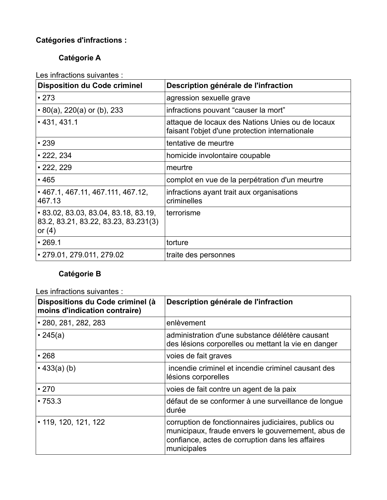# **Catégories d'infractions :**

# **Catégorie A**

Les infractions suivantes :

| <b>Disposition du Code criminel</b>                                                            | Description générale de l'infraction                                                                |
|------------------------------------------------------------------------------------------------|-----------------------------------------------------------------------------------------------------|
| $\cdot$ 273                                                                                    | agression sexuelle grave                                                                            |
| $\cdot$ 80(a), 220(a) or (b), 233                                                              | infractions pouvant "causer la mort"                                                                |
| $\cdot$ 431, 431.1                                                                             | attaque de locaux des Nations Unies ou de locaux<br>faisant l'objet d'une protection internationale |
| $\cdot$ 239                                                                                    | tentative de meurtre                                                                                |
| $\cdot$ 222, 234                                                                               | homicide involontaire coupable                                                                      |
| $\cdot$ 222, 229                                                                               | meurtre                                                                                             |
| •465                                                                                           | complot en vue de la perpétration d'un meurtre                                                      |
| $\cdot$ 467.1, 467.11, 467.111, 467.12,<br>467.13                                              | infractions ayant trait aux organisations<br>criminelles                                            |
| $\cdot$ 83.02, 83.03, 83.04, 83.18, 83.19,<br>83.2, 83.21, 83.22, 83.23, 83.231(3)<br>or $(4)$ | terrorisme                                                                                          |
| $\cdot$ 269.1                                                                                  | torture                                                                                             |
| • 279.01, 279.011, 279.02                                                                      | traite des personnes                                                                                |

# **Catégorie B**

Les infractions suivantes :

| Dispositions du Code criminel (à<br>moins d'indication contraire) | Description générale de l'infraction                                                                                                                                          |
|-------------------------------------------------------------------|-------------------------------------------------------------------------------------------------------------------------------------------------------------------------------|
| • 280, 281, 282, 283                                              | enlèvement                                                                                                                                                                    |
| • 245(a)                                                          | administration d'une substance délétère causant<br>des lésions corporelles ou mettant la vie en danger                                                                        |
| •268                                                              | voies de fait graves                                                                                                                                                          |
| $\cdot$ 433(a) (b)                                                | incendie criminel et incendie criminel causant des<br>lésions corporelles                                                                                                     |
| •270                                                              | voies de fait contre un agent de la paix                                                                                                                                      |
| $\cdot 753.3$                                                     | défaut de se conformer à une surveillance de longue<br>durée                                                                                                                  |
| $\cdot$ 119, 120, 121, 122                                        | corruption de fonctionnaires judiciaires, publics ou<br>municipaux, fraude envers le gouvernement, abus de<br>confiance, actes de corruption dans les affaires<br>municipales |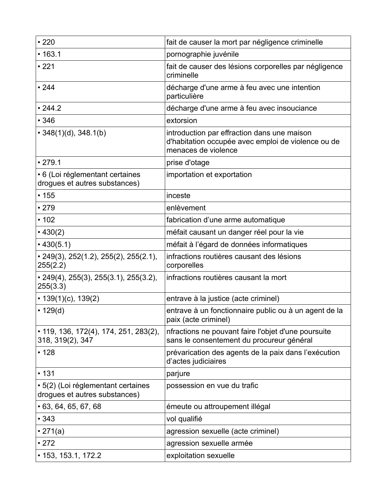| •220                                                                | fait de causer la mort par négligence criminelle                                                                         |
|---------------------------------------------------------------------|--------------------------------------------------------------------------------------------------------------------------|
| •163.1                                                              | pornographie juvénile                                                                                                    |
| •221                                                                | fait de causer des lésions corporelles par négligence<br>criminelle                                                      |
| •244                                                                | décharge d'une arme à feu avec une intention<br>particulière                                                             |
| • 244.2                                                             | décharge d'une arme à feu avec insouciance                                                                               |
| •346                                                                | extorsion                                                                                                                |
| $\cdot$ 348(1)(d), 348.1(b)                                         | introduction par effraction dans une maison<br>d'habitation occupée avec emploi de violence ou de<br>menaces de violence |
| •279.1                                                              | prise d'otage                                                                                                            |
| • 6 (Loi réglementant certaines<br>drogues et autres substances)    | importation et exportation                                                                                               |
| • 155                                                               | inceste                                                                                                                  |
| •279                                                                | enlèvement                                                                                                               |
| • 102                                                               | fabrication d'une arme automatique                                                                                       |
| •430(2)                                                             | méfait causant un danger réel pour la vie                                                                                |
| $\cdot$ 430(5.1)                                                    | méfait à l'égard de données informatiques                                                                                |
| $\cdot$ 249(3), 252(1.2), 255(2), 255(2.1),<br>255(2.2)             | infractions routières causant des lésions<br>corporelles                                                                 |
| $\cdot$ 249(4), 255(3), 255(3.1), 255(3.2),<br>255(3.3)             | infractions routières causant la mort                                                                                    |
| • $139(1)(c)$ , $139(2)$                                            | entrave à la justice (acte criminel)                                                                                     |
| • 129(d)                                                            | entrave à un fonctionnaire public ou à un agent de la<br>paix (acte criminel)                                            |
| $\cdot$ 119, 136, 172(4), 174, 251, 283(2),<br>318, 319(2), 347     | nfractions ne pouvant faire l'objet d'une poursuite<br>sans le consentement du procureur général                         |
| • 128                                                               | prévarication des agents de la paix dans l'exécution<br>d'actes judiciaires                                              |
| •131                                                                | parjure                                                                                                                  |
| • 5(2) (Loi réglementant certaines<br>drogues et autres substances) | possession en vue du trafic                                                                                              |
| $\cdot$ 63, 64, 65, 67, 68                                          | émeute ou attroupement illégal                                                                                           |
| •343                                                                | vol qualifié                                                                                                             |
| • 271(a)                                                            | agression sexuelle (acte criminel)                                                                                       |
| •272                                                                | agression sexuelle armée                                                                                                 |
| $\cdot$ 153, 153.1, 172.2                                           | exploitation sexuelle                                                                                                    |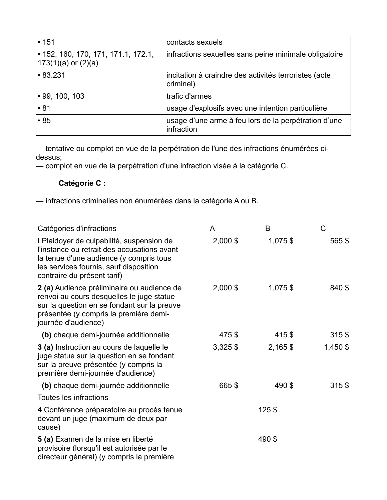| • 151                                                                | contacts sexuels                                                   |
|----------------------------------------------------------------------|--------------------------------------------------------------------|
| $\cdot$ 152, 160, 170, 171, 171.1, 172.1,<br>$173(1)(a)$ or $(2)(a)$ | infractions sexuelles sans peine minimale obligatoire              |
| •83.231                                                              | incitation à craindre des activités terroristes (acte<br>criminel) |
| $\cdot$ 99, 100, 103                                                 | trafic d'armes                                                     |
| $\cdot 81$                                                           | usage d'explosifs avec une intention particulière                  |
| • 85                                                                 | usage d'une arme à feu lors de la perpétration d'une<br>infraction |

— tentative ou complot en vue de la perpétration de l'une des infractions énumérées cidessus;

— complot en vue de la perpétration d'une infraction visée à la catégorie C.

#### **Catégorie C :**

— infractions criminelles non énumérées dans la catégorie A ou B.

| Catégories d'infractions                                                                                                                                                                                     | A          | B          | C        |
|--------------------------------------------------------------------------------------------------------------------------------------------------------------------------------------------------------------|------------|------------|----------|
| I Plaidoyer de culpabilité, suspension de<br>l'instance ou retrait des accusations avant<br>la tenue d'une audience (y compris tous<br>les services fournis, sauf disposition<br>contraire du présent tarif) | $2,000$ \$ | 1,075\$    | 565 \$   |
| 2 (a) Audience préliminaire ou audience de<br>renvoi au cours desquelles le juge statue<br>sur la question en se fondant sur la preuve<br>présentée (y compris la première demi-<br>journée d'audience)      | $2,000$ \$ | 1,075\$    | 840 \$   |
| (b) chaque demi-journée additionnelle                                                                                                                                                                        | 475\$      | 415\$      | $315$ \$ |
| <b>3 (a)</b> Instruction au cours de laquelle le<br>juge statue sur la question en se fondant<br>sur la preuve présentée (y compris la<br>première demi-journée d'audience)                                  | $3,325$ \$ | $2,165$ \$ | 1,450 \$ |
| (b) chaque demi-journée additionnelle                                                                                                                                                                        | 665\$      | 490 \$     | $315$ \$ |
| Toutes les infractions                                                                                                                                                                                       |            |            |          |
| 4 Conférence préparatoire au procès tenue<br>devant un juge (maximum de deux par<br>cause)                                                                                                                   |            | $125$ \$   |          |
| 5 (a) Examen de la mise en liberté<br>provisoire (lorsqu'il est autorisée par le<br>directeur général) (y compris la première                                                                                |            | 490 \$     |          |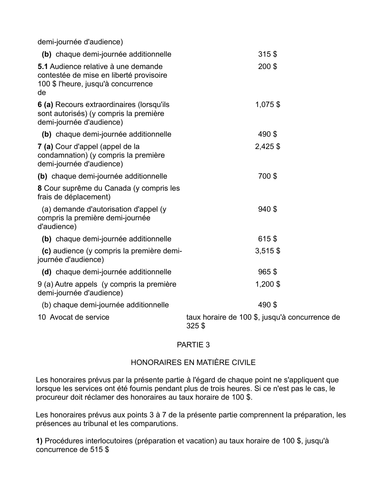demi-journée d'audience)

| (b) chaque demi-journée additionnelle                                                                                       | 315\$                                                   |
|-----------------------------------------------------------------------------------------------------------------------------|---------------------------------------------------------|
| 5.1 Audience relative à une demande<br>contestée de mise en liberté provisoire<br>100 \$ l'heure, jusqu'à concurrence<br>de | 200\$                                                   |
| 6 (a) Recours extraordinaires (lorsqu'ils<br>sont autorisés) (y compris la première<br>demi-journée d'audience)             | 1,075\$                                                 |
| (b) chaque demi-journée additionnelle                                                                                       | 490 \$                                                  |
| 7 (a) Cour d'appel (appel de la<br>condamnation) (y compris la première<br>demi-journée d'audience)                         | 2,425 \$                                                |
| (b) chaque demi-journée additionnelle                                                                                       | 700\$                                                   |
| 8 Cour suprême du Canada (y compris les<br>frais de déplacement)                                                            |                                                         |
| (a) demande d'autorisation d'appel (y<br>compris la première demi-journée<br>d'audience)                                    | 940\$                                                   |
| (b) chaque demi-journée additionnelle                                                                                       | 615\$                                                   |
| (c) audience (y compris la première demi-<br>journée d'audience)                                                            | $3,515$ \$                                              |
| (d) chaque demi-journée additionnelle                                                                                       | 965\$                                                   |
| 9 (a) Autre appels (y compris la première<br>demi-journée d'audience)                                                       | 1,200 \$                                                |
| (b) chaque demi-journée additionnelle                                                                                       | 490 \$                                                  |
| 10 Avocat de service                                                                                                        | taux horaire de 100 \$, jusqu'à concurrence de<br>325\$ |

#### PARTIE 3

#### HONORAIRES EN MATIÈRE CIVILE

Les honoraires prévus par la présente partie à l'égard de chaque point ne s'appliquent que lorsque les services ont été fournis pendant plus de trois heures. Si ce n'est pas le cas, le procureur doit réclamer des honoraires au taux horaire de 100 \$.

Les honoraires prévus aux points 3 à 7 de la présente partie comprennent la préparation, les présences au tribunal et les comparutions.

**1)** Procédures interlocutoires (préparation et vacation) au taux horaire de 100 \$, jusqu'à concurrence de 515 \$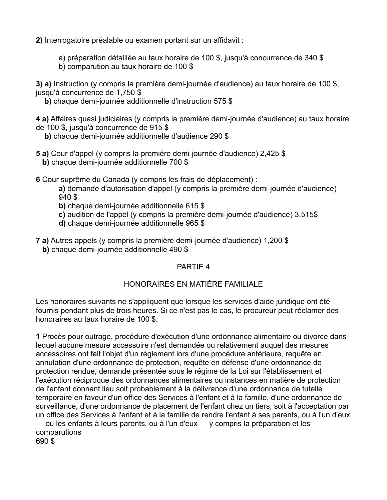**2)** Interrogatoire préalable ou examen portant sur un affidavit :

- a) préparation détaillée au taux horaire de 100 \$, jusqu'à concurrence de 340 \$
- b) comparution au taux horaire de 100 \$

**3) a)** Instruction (y compris la première demi-journée d'audience) au taux horaire de 100 \$, jusqu'à concurrence de 1,750 \$

**b)** chaque demi-journée additionnelle d'instruction 575 \$

**4 a)** Affaires quasi judiciaires (y compris la première demi-journée d'audience) au taux horaire de 100 \$, jusqu'à concurrence de 915 \$

 **b)** chaque demi-journée additionnelle d'audience 290 \$

- **5 a)** Cour d'appel (y compris la première demi-journée d'audience) 2,425 \$  **b)** chaque demi-journée additionnelle 700 \$
- **6** Cour suprême du Canada (y compris les frais de déplacement) :
	- **a)** demande d'autorisation d'appel (y compris la première demi-journée d'audience) 940 \$
	- **b**) chaque demi-journée additionnelle 615 \$
	- **c)** audition de l'appel (y compris la première demi-journée d'audience) 3,515\$
	- **d)** chaque demi-journée additionnelle 965 \$
- **7 a)** Autres appels (y compris la première demi-journée d'audience) 1,200 \$ **b)** chaque demi-journée additionnelle 490 \$

## PARTIE 4

## HONORAIRES EN MATIÈRE FAMILIALE

Les honoraires suivants ne s'appliquent que lorsque les services d'aide juridique ont été fournis pendant plus de trois heures. Si ce n'est pas le cas, le procureur peut réclamer des honoraires au taux horaire de 100 \$.

**1** Procès pour outrage, procédure d'exécution d'une ordonnance alimentaire ou divorce dans lequel aucune mesure accessoire n'est demandée ou relativement auquel des mesures accessoires ont fait l'objet d'un règlement lors d'une procédure antérieure, requête en annulation d'une ordonnance de protection, requête en défense d'une ordonnance de protection rendue, demande présentée sous le régime de la Loi sur l'établissement et l'exécution réciproque des ordonnances alimentaires ou instances en matière de protection de l'enfant donnant lieu soit probablement à la délivrance d'une ordonnance de tutelle temporaire en faveur d'un office des Services à l'enfant et à la famille, d'une ordonnance de surveillance, d'une ordonnance de placement de l'enfant chez un tiers, soit à l'acceptation par un office des Services à l'enfant et à la famille de rendre l'enfant à ses parents, ou à l'un d'eux — ou les enfants à leurs parents, ou à l'un d'eux — y compris la préparation et les comparutions 690 \$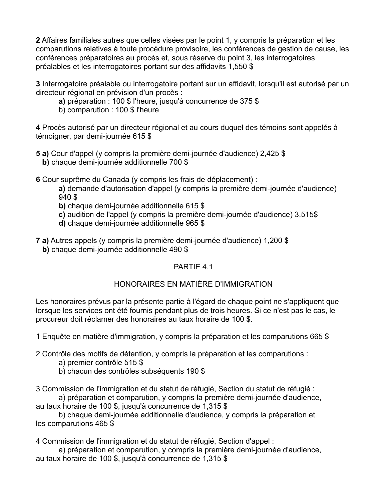**2** Affaires familiales autres que celles visées par le point 1, y compris la préparation et les comparutions relatives à toute procédure provisoire, les conférences de gestion de cause, les conférences préparatoires au procès et, sous réserve du point 3, les interrogatoires préalables et les interrogatoires portant sur des affidavits 1,550 \$

**3** Interrogatoire préalable ou interrogatoire portant sur un affidavit, lorsqu'il est autorisé par un directeur régional en prévision d'un procès :

- **a)** préparation : 100 \$ l'heure, jusqu'à concurrence de 375 \$
- b) comparution : 100 \$ l'heure

**4** Procès autorisé par un directeur régional et au cours duquel des témoins sont appelés à témoigner, par demi-journée 615 \$

- **5 a)** Cour d'appel (y compris la première demi-journée d'audience) 2,425 \$  **b)** chaque demi-journée additionnelle 700 \$
- **6** Cour suprême du Canada (y compris les frais de déplacement) :
	- **a)** demande d'autorisation d'appel (y compris la première demi-journée d'audience) 940 \$
	- **b**) chaque demi-journée additionnelle 615 \$
	- **c)** audition de l'appel (y compris la première demi-journée d'audience) 3,515\$
	- **d)** chaque demi-journée additionnelle 965 \$
- **7 a)** Autres appels (y compris la première demi-journée d'audience) 1,200 \$ **b)** chaque demi-journée additionnelle 490 \$

## PARTIE 4.1

## HONORAIRES EN MATIÈRE D'IMMIGRATION

Les honoraires prévus par la présente partie à l'égard de chaque point ne s'appliquent que lorsque les services ont été fournis pendant plus de trois heures. Si ce n'est pas le cas, le procureur doit réclamer des honoraires au taux horaire de 100 \$.

1 Enquête en matière d'immigration, y compris la préparation et les comparutions 665 \$

2 Contrôle des motifs de détention, y compris la préparation et les comparutions :

a) premier contrôle 515 \$

b) chacun des contrôles subséquents 190 \$

3 Commission de l'immigration et du statut de réfugié, Section du statut de réfugié :

a) préparation et comparution, y compris la première demi-journée d'audience, au taux horaire de 100 \$, jusqu'à concurrence de 1,315 \$

b) chaque demi-journée additionnelle d'audience, y compris la préparation et les comparutions 465 \$

4 Commission de l'immigration et du statut de réfugié, Section d'appel :

a) préparation et comparution, y compris la première demi-journée d'audience, au taux horaire de 100 \$, jusqu'à concurrence de 1,315 \$